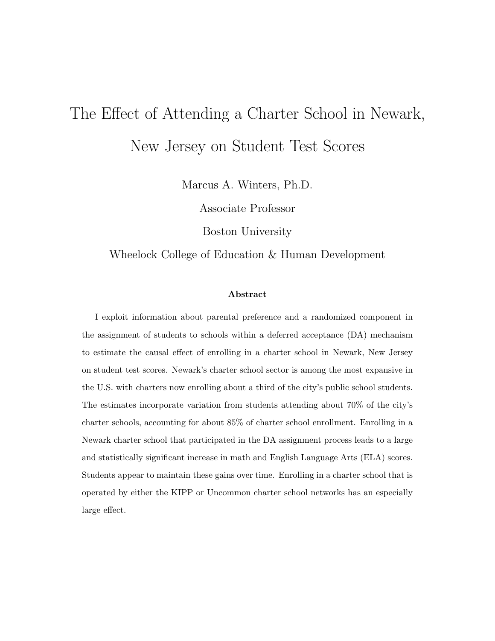# The Effect of Attending a Charter School in Newark, New Jersey on Student Test Scores

Marcus A. Winters, Ph.D.

Associate Professor

Boston University

Wheelock College of Education & Human Development

#### Abstract

I exploit information about parental preference and a randomized component in the assignment of students to schools within a deferred acceptance (DA) mechanism to estimate the causal effect of enrolling in a charter school in Newark, New Jersey on student test scores. Newark's charter school sector is among the most expansive in the U.S. with charters now enrolling about a third of the city's public school students. The estimates incorporate variation from students attending about 70% of the city's charter schools, accounting for about 85% of charter school enrollment. Enrolling in a Newark charter school that participated in the DA assignment process leads to a large and statistically significant increase in math and English Language Arts (ELA) scores. Students appear to maintain these gains over time. Enrolling in a charter school that is operated by either the KIPP or Uncommon charter school networks has an especially large effect.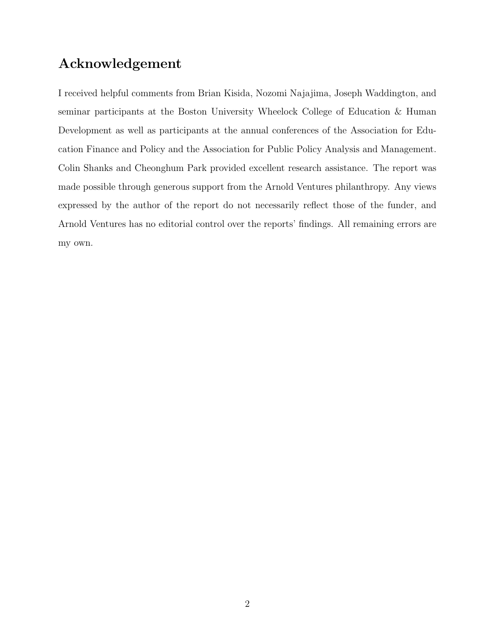## Acknowledgement

I received helpful comments from Brian Kisida, Nozomi Najajima, Joseph Waddington, and seminar participants at the Boston University Wheelock College of Education & Human Development as well as participants at the annual conferences of the Association for Education Finance and Policy and the Association for Public Policy Analysis and Management. Colin Shanks and Cheonghum Park provided excellent research assistance. The report was made possible through generous support from the Arnold Ventures philanthropy. Any views expressed by the author of the report do not necessarily reflect those of the funder, and Arnold Ventures has no editorial control over the reports' findings. All remaining errors are my own.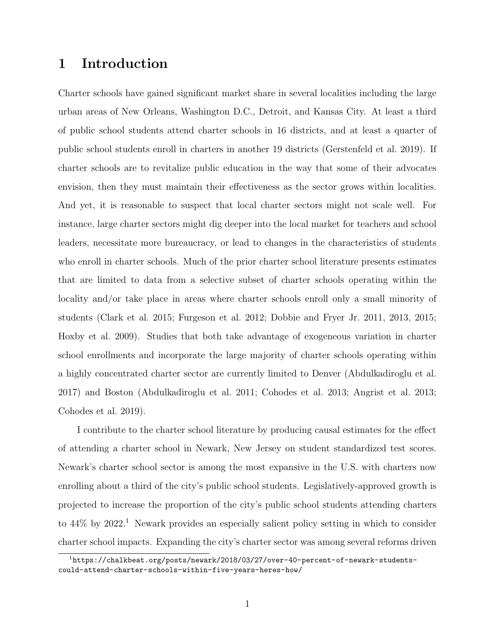## 1 Introduction

Charter schools have gained significant market share in several localities including the large urban areas of New Orleans, Washington D.C., Detroit, and Kansas City. At least a third of public school students attend charter schools in 16 districts, and at least a quarter of public school students enroll in charters in another 19 districts (Gerstenfeld et al. 2019). If charter schools are to revitalize public education in the way that some of their advocates envision, then they must maintain their effectiveness as the sector grows within localities. And yet, it is reasonable to suspect that local charter sectors might not scale well. For instance, large charter sectors might dig deeper into the local market for teachers and school leaders, necessitate more bureaucracy, or lead to changes in the characteristics of students who enroll in charter schools. Much of the prior charter school literature presents estimates that are limited to data from a selective subset of charter schools operating within the locality and/or take place in areas where charter schools enroll only a small minority of students (Clark et al. 2015; Furgeson et al. 2012; Dobbie and Fryer Jr. 2011, 2013, 2015; Hoxby et al. 2009). Studies that both take advantage of exogeneous variation in charter school enrollments and incorporate the large majority of charter schools operating within a highly concentrated charter sector are currently limited to Denver (Abdulkadiroglu et al. 2017) and Boston (Abdulkadiroglu et al. 2011; Cohodes et al. 2013; Angrist et al. 2013; Cohodes et al. 2019).

I contribute to the charter school literature by producing causal estimates for the effect of attending a charter school in Newark, New Jersey on student standardized test scores. Newark's charter school sector is among the most expansive in the U.S. with charters now enrolling about a third of the city's public school students. Legislatively-approved growth is projected to increase the proportion of the city's public school students attending charters to  $44\%$  by  $2022<sup>1</sup>$  Newark provides an especially salient policy setting in which to consider charter school impacts. Expanding the city's charter sector was among several reforms driven

<sup>1</sup>https://chalkbeat.org/posts/newark/2018/03/27/over-40-percent-of-newark-studentscould-attend-charter-schools-within-five-years-heres-how/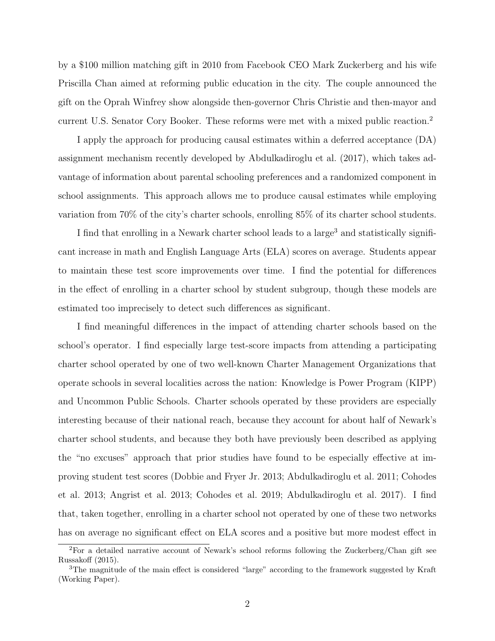by a \$100 million matching gift in 2010 from Facebook CEO Mark Zuckerberg and his wife Priscilla Chan aimed at reforming public education in the city. The couple announced the gift on the Oprah Winfrey show alongside then-governor Chris Christie and then-mayor and current U.S. Senator Cory Booker. These reforms were met with a mixed public reaction.<sup>2</sup>

I apply the approach for producing causal estimates within a deferred acceptance (DA) assignment mechanism recently developed by Abdulkadiroglu et al. (2017), which takes advantage of information about parental schooling preferences and a randomized component in school assignments. This approach allows me to produce causal estimates while employing variation from 70% of the city's charter schools, enrolling 85% of its charter school students.

I find that enrolling in a Newark charter school leads to a large<sup>3</sup> and statistically significant increase in math and English Language Arts (ELA) scores on average. Students appear to maintain these test score improvements over time. I find the potential for differences in the effect of enrolling in a charter school by student subgroup, though these models are estimated too imprecisely to detect such differences as significant.

I find meaningful differences in the impact of attending charter schools based on the school's operator. I find especially large test-score impacts from attending a participating charter school operated by one of two well-known Charter Management Organizations that operate schools in several localities across the nation: Knowledge is Power Program (KIPP) and Uncommon Public Schools. Charter schools operated by these providers are especially interesting because of their national reach, because they account for about half of Newark's charter school students, and because they both have previously been described as applying the "no excuses" approach that prior studies have found to be especially effective at improving student test scores (Dobbie and Fryer Jr. 2013; Abdulkadiroglu et al. 2011; Cohodes et al. 2013; Angrist et al. 2013; Cohodes et al. 2019; Abdulkadiroglu et al. 2017). I find that, taken together, enrolling in a charter school not operated by one of these two networks has on average no significant effect on ELA scores and a positive but more modest effect in

<sup>2</sup>For a detailed narrative account of Newark's school reforms following the Zuckerberg/Chan gift see Russakoff (2015).

<sup>&</sup>lt;sup>3</sup>The magnitude of the main effect is considered "large" according to the framework suggested by Kraft (Working Paper).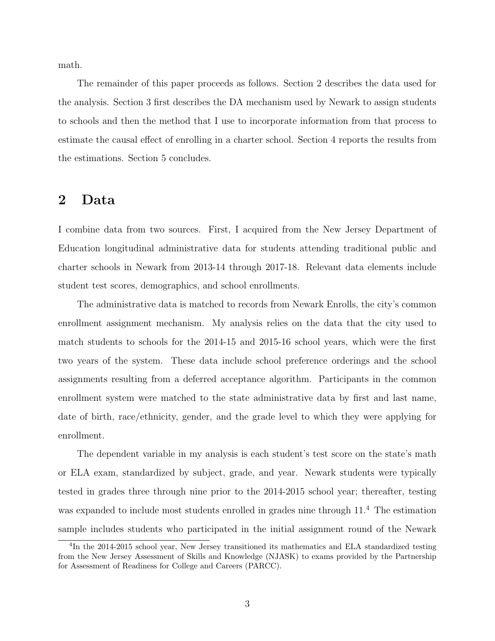math.

The remainder of this paper proceeds as follows. Section 2 describes the data used for the analysis. Section 3 first describes the DA mechanism used by Newark to assign students to schools and then the method that I use to incorporate information from that process to estimate the causal effect of enrolling in a charter school. Section 4 reports the results from the estimations. Section 5 concludes.

#### 2 Data

I combine data from two sources. First, I acquired from the New Jersey Department of Education longitudinal administrative data for students attending traditional public and charter schools in Newark from 2013-14 through 2017-18. Relevant data elements include student test scores, demographics, and school enrollments.

The administrative data is matched to records from Newark Enrolls, the city's common enrollment assignment mechanism. My analysis relies on the data that the city used to match students to schools for the 2014-15 and 2015-16 school years, which were the first two years of the system. These data include school preference orderings and the school assignments resulting from a deferred acceptance algorithm. Participants in the common enrollment system were matched to the state administrative data by first and last name, date of birth, race/ethnicity, gender, and the grade level to which they were applying for enrollment.

The dependent variable in my analysis is each student's test score on the state's math or ELA exam, standardized by subject, grade, and year. Newark students were typically tested in grades three through nine prior to the 2014-2015 school year; thereafter, testing was expanded to include most students enrolled in grades nine through  $11<sup>4</sup>$ . The estimation sample includes students who participated in the initial assignment round of the Newark

<sup>&</sup>lt;sup>4</sup>In the 2014-2015 school year, New Jersey transitioned its mathematics and ELA standardized testing from the New Jersey Assessment of Skills and Knowledge (NJASK) to exams provided by the Partnership for Assessment of Readiness for College and Careers (PARCC).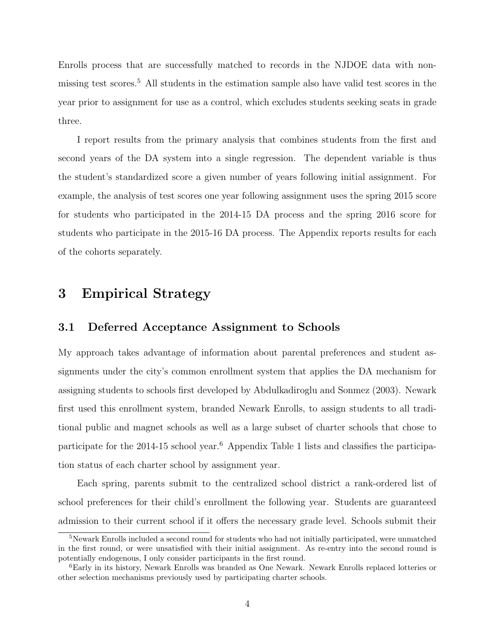Enrolls process that are successfully matched to records in the NJDOE data with nonmissing test scores.<sup>5</sup> All students in the estimation sample also have valid test scores in the year prior to assignment for use as a control, which excludes students seeking seats in grade three.

I report results from the primary analysis that combines students from the first and second years of the DA system into a single regression. The dependent variable is thus the student's standardized score a given number of years following initial assignment. For example, the analysis of test scores one year following assignment uses the spring 2015 score for students who participated in the 2014-15 DA process and the spring 2016 score for students who participate in the 2015-16 DA process. The Appendix reports results for each of the cohorts separately.

#### 3 Empirical Strategy

#### 3.1 Deferred Acceptance Assignment to Schools

My approach takes advantage of information about parental preferences and student assignments under the city's common enrollment system that applies the DA mechanism for assigning students to schools first developed by Abdulkadiroglu and Sonmez (2003). Newark first used this enrollment system, branded Newark Enrolls, to assign students to all traditional public and magnet schools as well as a large subset of charter schools that chose to participate for the 2014-15 school year.<sup>6</sup> Appendix Table 1 lists and classifies the participation status of each charter school by assignment year.

Each spring, parents submit to the centralized school district a rank-ordered list of school preferences for their child's enrollment the following year. Students are guaranteed admission to their current school if it offers the necessary grade level. Schools submit their

<sup>5</sup>Newark Enrolls included a second round for students who had not initially participated, were unmatched in the first round, or were unsatisfied with their initial assignment. As re-entry into the second round is potentially endogenous, I only consider participants in the first round.

<sup>6</sup>Early in its history, Newark Enrolls was branded as One Newark. Newark Enrolls replaced lotteries or other selection mechanisms previously used by participating charter schools.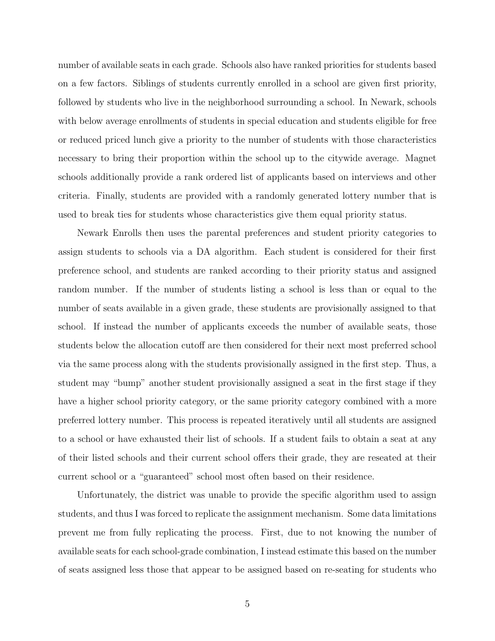number of available seats in each grade. Schools also have ranked priorities for students based on a few factors. Siblings of students currently enrolled in a school are given first priority, followed by students who live in the neighborhood surrounding a school. In Newark, schools with below average enrollments of students in special education and students eligible for free or reduced priced lunch give a priority to the number of students with those characteristics necessary to bring their proportion within the school up to the citywide average. Magnet schools additionally provide a rank ordered list of applicants based on interviews and other criteria. Finally, students are provided with a randomly generated lottery number that is used to break ties for students whose characteristics give them equal priority status.

Newark Enrolls then uses the parental preferences and student priority categories to assign students to schools via a DA algorithm. Each student is considered for their first preference school, and students are ranked according to their priority status and assigned random number. If the number of students listing a school is less than or equal to the number of seats available in a given grade, these students are provisionally assigned to that school. If instead the number of applicants exceeds the number of available seats, those students below the allocation cutoff are then considered for their next most preferred school via the same process along with the students provisionally assigned in the first step. Thus, a student may "bump" another student provisionally assigned a seat in the first stage if they have a higher school priority category, or the same priority category combined with a more preferred lottery number. This process is repeated iteratively until all students are assigned to a school or have exhausted their list of schools. If a student fails to obtain a seat at any of their listed schools and their current school offers their grade, they are reseated at their current school or a "guaranteed" school most often based on their residence.

Unfortunately, the district was unable to provide the specific algorithm used to assign students, and thus I was forced to replicate the assignment mechanism. Some data limitations prevent me from fully replicating the process. First, due to not knowing the number of available seats for each school-grade combination, I instead estimate this based on the number of seats assigned less those that appear to be assigned based on re-seating for students who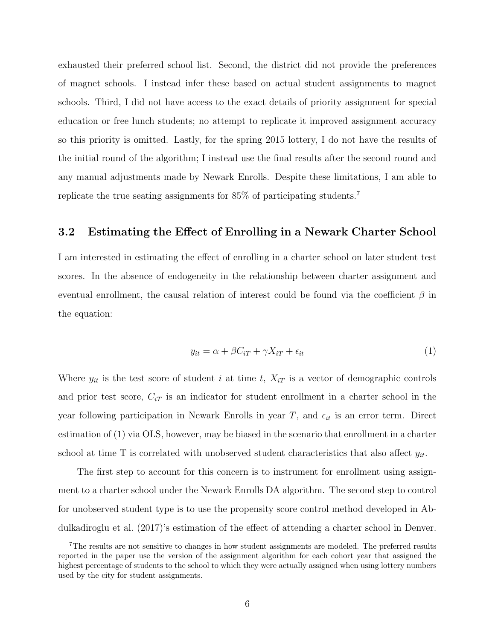exhausted their preferred school list. Second, the district did not provide the preferences of magnet schools. I instead infer these based on actual student assignments to magnet schools. Third, I did not have access to the exact details of priority assignment for special education or free lunch students; no attempt to replicate it improved assignment accuracy so this priority is omitted. Lastly, for the spring 2015 lottery, I do not have the results of the initial round of the algorithm; I instead use the final results after the second round and any manual adjustments made by Newark Enrolls. Despite these limitations, I am able to replicate the true seating assignments for  $85\%$  of participating students.  $7$ 

#### 3.2 Estimating the Effect of Enrolling in a Newark Charter School

I am interested in estimating the effect of enrolling in a charter school on later student test scores. In the absence of endogeneity in the relationship between charter assignment and eventual enrollment, the causal relation of interest could be found via the coefficient  $\beta$  in the equation:

$$
y_{it} = \alpha + \beta C_{iT} + \gamma X_{iT} + \epsilon_{it} \tag{1}
$$

Where  $y_{it}$  is the test score of student i at time t,  $X_{iT}$  is a vector of demographic controls and prior test score,  $C_{iT}$  is an indicator for student enrollment in a charter school in the year following participation in Newark Enrolls in year T, and  $\epsilon_{it}$  is an error term. Direct estimation of (1) via OLS, however, may be biased in the scenario that enrollment in a charter school at time T is correlated with unobserved student characteristics that also affect  $y_{it}$ .

The first step to account for this concern is to instrument for enrollment using assignment to a charter school under the Newark Enrolls DA algorithm. The second step to control for unobserved student type is to use the propensity score control method developed in Abdulkadiroglu et al. (2017)'s estimation of the effect of attending a charter school in Denver.

<sup>7</sup>The results are not sensitive to changes in how student assignments are modeled. The preferred results reported in the paper use the version of the assignment algorithm for each cohort year that assigned the highest percentage of students to the school to which they were actually assigned when using lottery numbers used by the city for student assignments.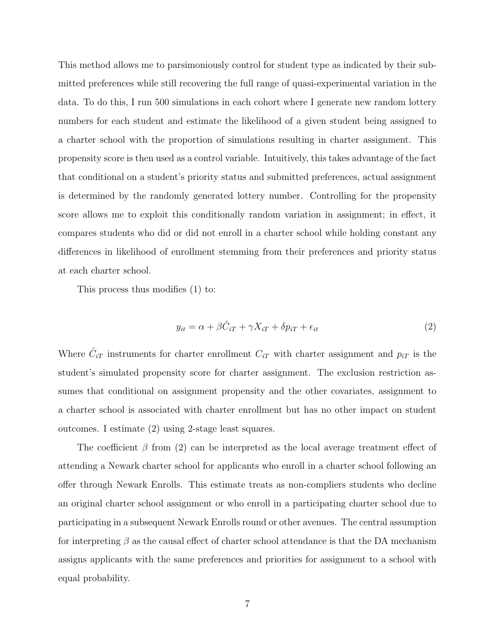This method allows me to parsimoniously control for student type as indicated by their submitted preferences while still recovering the full range of quasi-experimental variation in the data. To do this, I run 500 simulations in each cohort where I generate new random lottery numbers for each student and estimate the likelihood of a given student being assigned to a charter school with the proportion of simulations resulting in charter assignment. This propensity score is then used as a control variable. Intuitively, this takes advantage of the fact that conditional on a student's priority status and submitted preferences, actual assignment is determined by the randomly generated lottery number. Controlling for the propensity score allows me to exploit this conditionally random variation in assignment; in effect, it compares students who did or did not enroll in a charter school while holding constant any differences in likelihood of enrollment stemming from their preferences and priority status at each charter school.

This process thus modifies (1) to:

$$
y_{it} = \alpha + \beta \hat{C}_{iT} + \gamma X_{iT} + \delta p_{iT} + \epsilon_{it}
$$
\n<sup>(2)</sup>

Where  $\hat{C}_{iT}$  instruments for charter enrollment  $C_{iT}$  with charter assignment and  $p_{iT}$  is the student's simulated propensity score for charter assignment. The exclusion restriction assumes that conditional on assignment propensity and the other covariates, assignment to a charter school is associated with charter enrollment but has no other impact on student outcomes. I estimate (2) using 2-stage least squares.

The coefficient  $\beta$  from (2) can be interpreted as the local average treatment effect of attending a Newark charter school for applicants who enroll in a charter school following an offer through Newark Enrolls. This estimate treats as non-compliers students who decline an original charter school assignment or who enroll in a participating charter school due to participating in a subsequent Newark Enrolls round or other avenues. The central assumption for interpreting  $\beta$  as the causal effect of charter school attendance is that the DA mechanism assigns applicants with the same preferences and priorities for assignment to a school with equal probability.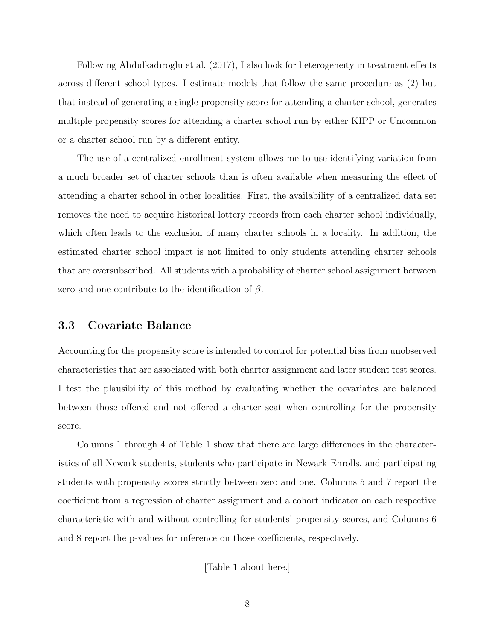Following Abdulkadiroglu et al. (2017), I also look for heterogeneity in treatment effects across different school types. I estimate models that follow the same procedure as (2) but that instead of generating a single propensity score for attending a charter school, generates multiple propensity scores for attending a charter school run by either KIPP or Uncommon or a charter school run by a different entity.

The use of a centralized enrollment system allows me to use identifying variation from a much broader set of charter schools than is often available when measuring the effect of attending a charter school in other localities. First, the availability of a centralized data set removes the need to acquire historical lottery records from each charter school individually, which often leads to the exclusion of many charter schools in a locality. In addition, the estimated charter school impact is not limited to only students attending charter schools that are oversubscribed. All students with a probability of charter school assignment between zero and one contribute to the identification of  $\beta$ .

#### 3.3 Covariate Balance

Accounting for the propensity score is intended to control for potential bias from unobserved characteristics that are associated with both charter assignment and later student test scores. I test the plausibility of this method by evaluating whether the covariates are balanced between those offered and not offered a charter seat when controlling for the propensity score.

Columns 1 through 4 of Table 1 show that there are large differences in the characteristics of all Newark students, students who participate in Newark Enrolls, and participating students with propensity scores strictly between zero and one. Columns 5 and 7 report the coefficient from a regression of charter assignment and a cohort indicator on each respective characteristic with and without controlling for students' propensity scores, and Columns 6 and 8 report the p-values for inference on those coefficients, respectively.

[Table 1 about here.]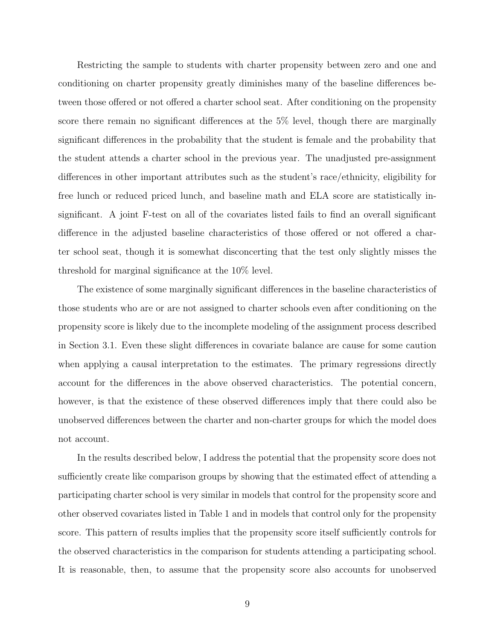Restricting the sample to students with charter propensity between zero and one and conditioning on charter propensity greatly diminishes many of the baseline differences between those offered or not offered a charter school seat. After conditioning on the propensity score there remain no significant differences at the 5% level, though there are marginally significant differences in the probability that the student is female and the probability that the student attends a charter school in the previous year. The unadjusted pre-assignment differences in other important attributes such as the student's race/ethnicity, eligibility for free lunch or reduced priced lunch, and baseline math and ELA score are statistically insignificant. A joint F-test on all of the covariates listed fails to find an overall significant difference in the adjusted baseline characteristics of those offered or not offered a charter school seat, though it is somewhat disconcerting that the test only slightly misses the threshold for marginal significance at the 10% level.

The existence of some marginally significant differences in the baseline characteristics of those students who are or are not assigned to charter schools even after conditioning on the propensity score is likely due to the incomplete modeling of the assignment process described in Section 3.1. Even these slight differences in covariate balance are cause for some caution when applying a causal interpretation to the estimates. The primary regressions directly account for the differences in the above observed characteristics. The potential concern, however, is that the existence of these observed differences imply that there could also be unobserved differences between the charter and non-charter groups for which the model does not account.

In the results described below, I address the potential that the propensity score does not sufficiently create like comparison groups by showing that the estimated effect of attending a participating charter school is very similar in models that control for the propensity score and other observed covariates listed in Table 1 and in models that control only for the propensity score. This pattern of results implies that the propensity score itself sufficiently controls for the observed characteristics in the comparison for students attending a participating school. It is reasonable, then, to assume that the propensity score also accounts for unobserved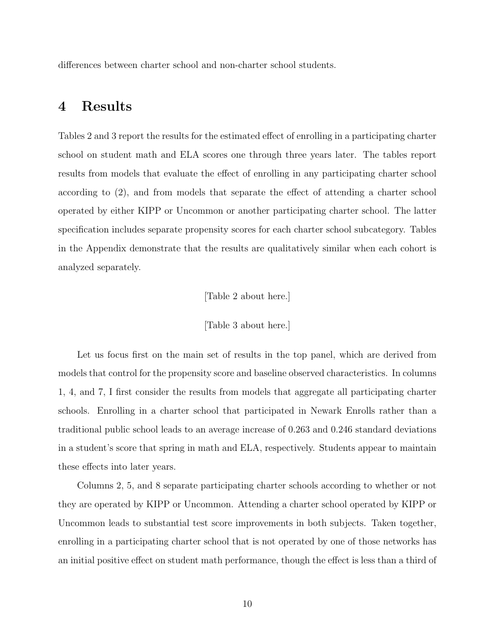differences between charter school and non-charter school students.

### 4 Results

Tables 2 and 3 report the results for the estimated effect of enrolling in a participating charter school on student math and ELA scores one through three years later. The tables report results from models that evaluate the effect of enrolling in any participating charter school according to (2), and from models that separate the effect of attending a charter school operated by either KIPP or Uncommon or another participating charter school. The latter specification includes separate propensity scores for each charter school subcategory. Tables in the Appendix demonstrate that the results are qualitatively similar when each cohort is analyzed separately.

[Table 2 about here.]

[Table 3 about here.]

Let us focus first on the main set of results in the top panel, which are derived from models that control for the propensity score and baseline observed characteristics. In columns 1, 4, and 7, I first consider the results from models that aggregate all participating charter schools. Enrolling in a charter school that participated in Newark Enrolls rather than a traditional public school leads to an average increase of 0.263 and 0.246 standard deviations in a student's score that spring in math and ELA, respectively. Students appear to maintain these effects into later years.

Columns 2, 5, and 8 separate participating charter schools according to whether or not they are operated by KIPP or Uncommon. Attending a charter school operated by KIPP or Uncommon leads to substantial test score improvements in both subjects. Taken together, enrolling in a participating charter school that is not operated by one of those networks has an initial positive effect on student math performance, though the effect is less than a third of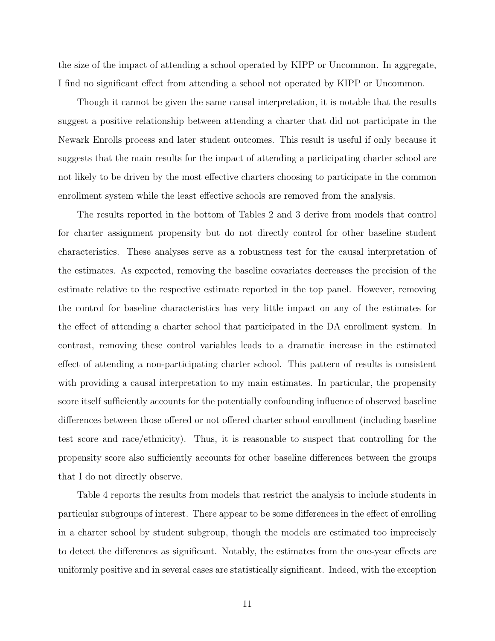the size of the impact of attending a school operated by KIPP or Uncommon. In aggregate, I find no significant effect from attending a school not operated by KIPP or Uncommon.

Though it cannot be given the same causal interpretation, it is notable that the results suggest a positive relationship between attending a charter that did not participate in the Newark Enrolls process and later student outcomes. This result is useful if only because it suggests that the main results for the impact of attending a participating charter school are not likely to be driven by the most effective charters choosing to participate in the common enrollment system while the least effective schools are removed from the analysis.

The results reported in the bottom of Tables 2 and 3 derive from models that control for charter assignment propensity but do not directly control for other baseline student characteristics. These analyses serve as a robustness test for the causal interpretation of the estimates. As expected, removing the baseline covariates decreases the precision of the estimate relative to the respective estimate reported in the top panel. However, removing the control for baseline characteristics has very little impact on any of the estimates for the effect of attending a charter school that participated in the DA enrollment system. In contrast, removing these control variables leads to a dramatic increase in the estimated effect of attending a non-participating charter school. This pattern of results is consistent with providing a causal interpretation to my main estimates. In particular, the propensity score itself sufficiently accounts for the potentially confounding influence of observed baseline differences between those offered or not offered charter school enrollment (including baseline test score and race/ethnicity). Thus, it is reasonable to suspect that controlling for the propensity score also sufficiently accounts for other baseline differences between the groups that I do not directly observe.

Table 4 reports the results from models that restrict the analysis to include students in particular subgroups of interest. There appear to be some differences in the effect of enrolling in a charter school by student subgroup, though the models are estimated too imprecisely to detect the differences as significant. Notably, the estimates from the one-year effects are uniformly positive and in several cases are statistically significant. Indeed, with the exception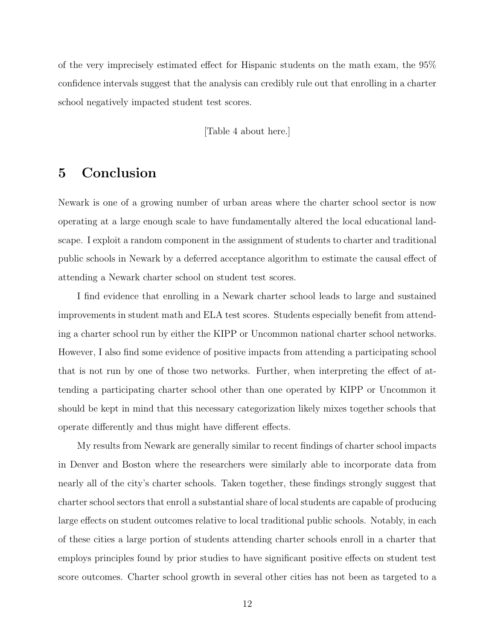of the very imprecisely estimated effect for Hispanic students on the math exam, the 95% confidence intervals suggest that the analysis can credibly rule out that enrolling in a charter school negatively impacted student test scores.

[Table 4 about here.]

## 5 Conclusion

Newark is one of a growing number of urban areas where the charter school sector is now operating at a large enough scale to have fundamentally altered the local educational landscape. I exploit a random component in the assignment of students to charter and traditional public schools in Newark by a deferred acceptance algorithm to estimate the causal effect of attending a Newark charter school on student test scores.

I find evidence that enrolling in a Newark charter school leads to large and sustained improvements in student math and ELA test scores. Students especially benefit from attending a charter school run by either the KIPP or Uncommon national charter school networks. However, I also find some evidence of positive impacts from attending a participating school that is not run by one of those two networks. Further, when interpreting the effect of attending a participating charter school other than one operated by KIPP or Uncommon it should be kept in mind that this necessary categorization likely mixes together schools that operate differently and thus might have different effects.

My results from Newark are generally similar to recent findings of charter school impacts in Denver and Boston where the researchers were similarly able to incorporate data from nearly all of the city's charter schools. Taken together, these findings strongly suggest that charter school sectors that enroll a substantial share of local students are capable of producing large effects on student outcomes relative to local traditional public schools. Notably, in each of these cities a large portion of students attending charter schools enroll in a charter that employs principles found by prior studies to have significant positive effects on student test score outcomes. Charter school growth in several other cities has not been as targeted to a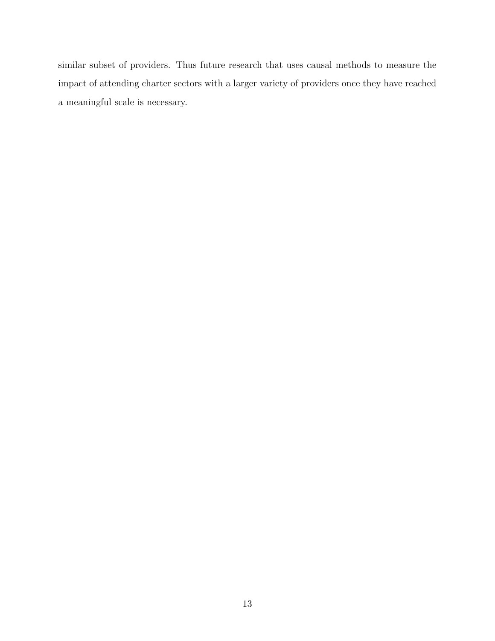similar subset of providers. Thus future research that uses causal methods to measure the impact of attending charter sectors with a larger variety of providers once they have reached a meaningful scale is necessary.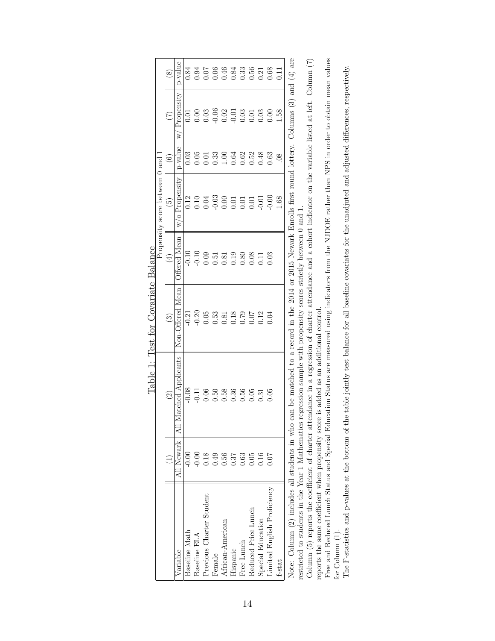|                                  | $\circledS$          | -value            |               |              |                          |        |                  |                 |            |                     |                                                                                                                                             |                             | $\overline{0.11}$ |
|----------------------------------|----------------------|-------------------|---------------|--------------|--------------------------|--------|------------------|-----------------|------------|---------------------|---------------------------------------------------------------------------------------------------------------------------------------------|-----------------------------|-------------------|
|                                  |                      |                   |               |              |                          |        |                  |                 |            |                     |                                                                                                                                             |                             | $\frac{851}{2}$   |
|                                  | ල                    | $v$ alue          |               |              |                          |        |                  |                 |            |                     |                                                                                                                                             |                             | $\overline{08}$   |
| Propensity score between 0 and 1 | <u>ro</u>            | Propensity        |               |              |                          |        |                  |                 |            |                     |                                                                                                                                             |                             | 1.68              |
|                                  | 4                    | <b>Hered Mean</b> |               |              |                          |        |                  |                 |            |                     |                                                                                                                                             |                             |                   |
|                                  | ల                    | <b>Hered</b>      |               |              |                          |        |                  |                 |            |                     | $-0.21$<br>$-0.26$<br>$-0.53$<br>$-0.53$<br>$-0.53$<br>$-0.53$<br>$-0.53$<br>$-0.53$<br>$-0.53$<br>$-0.53$<br>$-0.53$<br>$-0.53$<br>$-0.53$ |                             |                   |
|                                  | $\widetilde{\omega}$ | All N             |               |              |                          |        |                  |                 |            |                     |                                                                                                                                             |                             |                   |
|                                  |                      | All Newark        | 0.00          |              |                          |        |                  |                 |            |                     |                                                                                                                                             | 0.07                        |                   |
|                                  |                      | Variable          | Baseline Math | Baseline ELA | Previous Charter Student | Female | African-American | <b>Hispanic</b> | Free Lunch | Reduced Price Lunch | Special Education                                                                                                                           | Limited English Proficiency | t-stat            |

Table 1: Test for Covariate Balance Table 1: Test for Covariate Balance Note: Column (2) includes all students in who can be matched to a record in the 2014 or 2015 Newark Enrolls first round lottery. Columns (3) and (4) are Note: Column (2) includes all students in who can be matched to a record in the 2014 or 2015 Newark Enrolls first round lottery. Columns (3) and (4) are restricted to students in the Year 1 Mathematics regression sample with propensity scores strictly between 0 and 1. restricted to students in the Year 1 Mathematics regression sample with propensity scores strictly between 0 and 1.

Column (5) reports the coefficient of charter attendance in a regression of charter attendance and a cohort indicator on the variable listed at left. Column  $(7)$ Column (5) reports the coefficient of charter attendance in a regression of charter attendance and a cohort indicator on the variable listed at left. Column (7) reports the same coefficient when propensity score is added as an additional control. reports the same coefficient when propensity score is added as an additional control.

Free and Reduced Lunch Status and Special Education Status are measured using indicators from the NJDOE rather than NPS in order to obtain mean values Free and Reduced Lunch Status and Special Education Status are measured using indicators from the NJDOE rather than NPS in order to obtain mean values for Column (1). for Column (1).

The F-statistics and p-values at the bottom of the table jointly test balance for all baseline covariates for the unadjuted and adjusted differences, respectively. The F-statistics and p-values at the bottom of the table jointly test balance for all baseline covariates for the unadjuted and adjusted differences, respectively.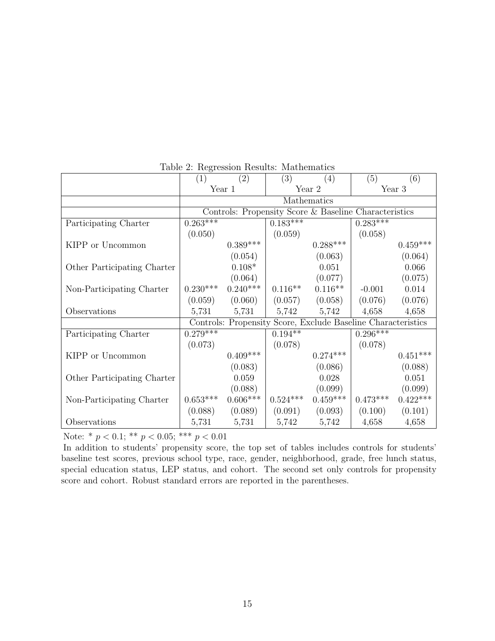|                             | (1)        | $\left( 2\right)$                                     | (3)        | (4)                                                          | (5)         | (6)        |  |
|-----------------------------|------------|-------------------------------------------------------|------------|--------------------------------------------------------------|-------------|------------|--|
|                             |            | Year 1                                                |            | Year 2                                                       |             | Year 3     |  |
|                             |            |                                                       |            | Mathematics                                                  |             |            |  |
|                             |            | Controls: Propensity Score & Baseline Characteristics |            |                                                              |             |            |  |
| Participating Charter       | $0.263***$ |                                                       | $0.183***$ |                                                              | $0.283$ *** |            |  |
|                             | (0.050)    |                                                       | (0.059)    |                                                              | (0.058)     |            |  |
| KIPP or Uncommon            |            | $0.389***$                                            |            | $0.288***$                                                   |             | $0.459***$ |  |
|                             |            | (0.054)                                               |            | (0.063)                                                      |             | (0.064)    |  |
| Other Participating Charter |            | $0.108*$                                              |            | 0.051                                                        |             | 0.066      |  |
|                             |            | (0.064)                                               |            | (0.077)                                                      |             | (0.075)    |  |
| Non-Participating Charter   | $0.230***$ | $0.240***$                                            | $0.116**$  | $0.116**$                                                    | $-0.001$    | 0.014      |  |
|                             | (0.059)    | (0.060)                                               | (0.057)    | (0.058)                                                      | (0.076)     | (0.076)    |  |
| Observations                | 5,731      | 5,731                                                 | 5,742      | 5,742                                                        | 4,658       | 4,658      |  |
|                             |            |                                                       |            | Controls: Propensity Score, Exclude Baseline Characteristics |             |            |  |
| Participating Charter       | $0.279***$ |                                                       | $0.194**$  |                                                              | $0.296***$  |            |  |
|                             | (0.073)    |                                                       | (0.078)    |                                                              | (0.078)     |            |  |
| KIPP or Uncommon            |            | $0.409***$                                            |            | $0.274***$                                                   |             | $0.451***$ |  |
|                             |            | (0.083)                                               |            | (0.086)                                                      |             | (0.088)    |  |
| Other Participating Charter |            | 0.059                                                 |            | 0.028                                                        |             | 0.051      |  |
|                             |            | (0.088)                                               |            | (0.099)                                                      |             | (0.099)    |  |
| Non-Participating Charter   | $0.653***$ | $0.606***$                                            | $0.524***$ | $0.459***$                                                   | $0.473***$  | $0.422***$ |  |
|                             | (0.088)    | (0.089)                                               | (0.091)    | (0.093)                                                      | (0.100)     | (0.101)    |  |
| Observations                | 5,731      | 5,731                                                 | 5,742      | 5,742                                                        | 4,658       | 4,658      |  |

#### Table 2: Regression Results: Mathematics

Note: \*  $p < 0.1$ ; \*\*  $p < 0.05$ ; \*\*\*  $p < 0.01$ 

In addition to students' propensity score, the top set of tables includes controls for students' baseline test scores, previous school type, race, gender, neighborhood, grade, free lunch status, special education status, LEP status, and cohort. The second set only controls for propensity score and cohort. Robust standard errors are reported in the parentheses.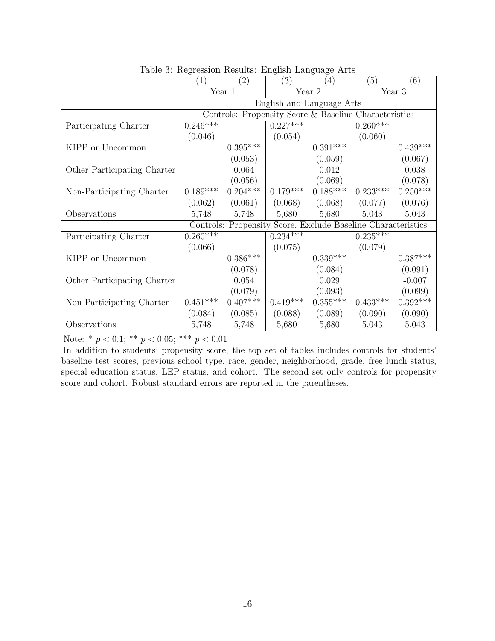|                             | (1)        | $\frac{1}{2}$<br>(2)                                  | $\frac{1}{2}$<br>(3)  | (4)                                                          | (5)        | (6)        |  |
|-----------------------------|------------|-------------------------------------------------------|-----------------------|--------------------------------------------------------------|------------|------------|--|
|                             |            | Year 1                                                |                       | Year 2                                                       | Year 3     |            |  |
|                             |            |                                                       |                       | English and Language Arts                                    |            |            |  |
|                             |            | Controls: Propensity Score & Baseline Characteristics |                       |                                                              |            |            |  |
| Participating Charter       | $0.246***$ |                                                       | $0.\overline{227***}$ |                                                              | $0.260***$ |            |  |
|                             | (0.046)    |                                                       | (0.054)               |                                                              | (0.060)    |            |  |
| KIPP or Uncommon            |            | $0.395***$                                            |                       | $0.391***$                                                   |            | $0.439***$ |  |
|                             |            | (0.053)                                               |                       | (0.059)                                                      |            | (0.067)    |  |
| Other Participating Charter |            | 0.064                                                 |                       | 0.012                                                        |            | 0.038      |  |
|                             |            | (0.056)                                               |                       | (0.069)                                                      |            | (0.078)    |  |
| Non-Participating Charter   | $0.189***$ | $0.204***$                                            | $0.179***$            | $0.188***$                                                   | $0.233***$ | $0.250***$ |  |
|                             |            | $(0.062)$ $(0.061)$                                   | (0.068)               | (0.068)                                                      | (0.077)    | (0.076)    |  |
| Observations                | 5,748      | 5,748                                                 | 5,680                 | 5,680                                                        | 5,043      | 5,043      |  |
|                             |            |                                                       |                       | Controls: Propensity Score, Exclude Baseline Characteristics |            |            |  |
| Participating Charter       | $0.260***$ |                                                       | $0.234***$            |                                                              | $0.235***$ |            |  |
|                             | (0.066)    |                                                       | (0.075)               |                                                              | (0.079)    |            |  |
| KIPP or Uncommon            |            | $0.386***$                                            |                       | $0.339***$                                                   |            | $0.387***$ |  |
|                             |            | (0.078)                                               |                       | (0.084)                                                      |            | (0.091)    |  |
| Other Participating Charter |            | 0.054                                                 |                       | 0.029                                                        |            | $-0.007$   |  |
|                             |            | (0.079)                                               |                       | (0.093)                                                      |            | (0.099)    |  |
| Non-Participating Charter   | $0.451***$ | $0.407***$                                            | $0.419***$            | $0.355***$                                                   | $0.433***$ | $0.392***$ |  |
|                             |            | $(0.084)$ $(0.085)$                                   | (0.088)               | (0.089)                                                      | (0.090)    | (0.090)    |  |
| Observations                | 5,748      | 5,748                                                 | 5,680                 | 5,680                                                        | 5,043      | 5,043      |  |

Table 3: Regression Results: English Language Arts

Note: \* $p < 0.1;$ \*\* $p < 0.05;$ \*\*\* $p < 0.01$ 

In addition to students' propensity score, the top set of tables includes controls for students' baseline test scores, previous school type, race, gender, neighborhood, grade, free lunch status, special education status, LEP status, and cohort. The second set only controls for propensity score and cohort. Robust standard errors are reported in the parentheses.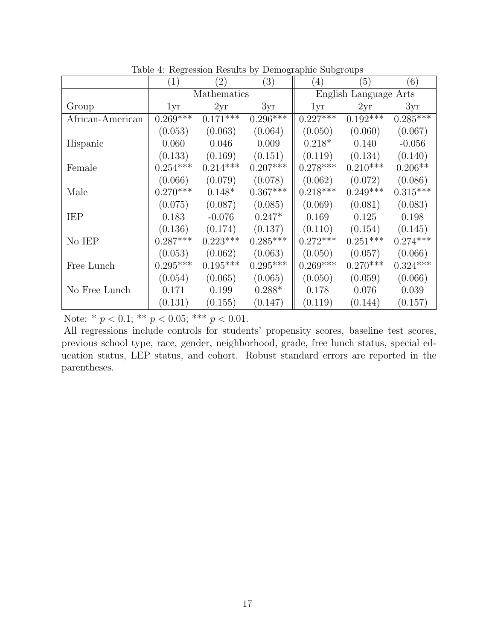|                  | $\left(1\right)$ | (2)         | $\left( 3\right)$ | (4)        | $\left(5\right)$      | (6)        |
|------------------|------------------|-------------|-------------------|------------|-----------------------|------------|
|                  |                  | Mathematics |                   |            | English Language Arts |            |
| Group            | 1yr              | 2yr         | 3yr               | 1yr        | 2yr                   | 3yr        |
| African-American | $0.269***$       | $0.171***$  | $0.296***$        | $0.227***$ | $0.192***$            | $0.285***$ |
|                  | (0.053)          | (0.063)     | (0.064)           | (0.050)    | (0.060)               | (0.067)    |
| Hispanic         | 0.060            | 0.046       | 0.009             | $0.218*$   | 0.140                 | $-0.056$   |
|                  | (0.133)          | (0.169)     | (0.151)           | (0.119)    | (0.134)               | (0.140)    |
| Female           | $0.254***$       | $0.214***$  | $0.207***$        | $0.278***$ | $0.210***$            | $0.206**$  |
|                  | (0.066)          | (0.079)     | (0.078)           | (0.062)    | (0.072)               | (0.086)    |
| Male             | $0.270***$       | $0.148*$    | $0.367***$        | $0.218***$ | $0.249***$            | $0.315***$ |
|                  | (0.075)          | (0.087)     | (0.085)           | (0.069)    | (0.081)               | (0.083)    |
| IEP              | 0.183            | $-0.076$    | $0.247*$          | 0.169      | 0.125                 | 0.198      |
|                  | (0.136)          | (0.174)     | (0.137)           | (0.110)    | (0.154)               | (0.145)    |
| No IEP           | $0.287***$       | $0.223***$  | $0.285***$        | $0.272***$ | $0.251***$            | $0.274***$ |
|                  | (0.053)          | (0.062)     | (0.063)           | (0.050)    | (0.057)               | (0.066)    |
| Free Lunch       | $0.295^{***}\,$  | $0.195***$  | $0.295***$        | $0.269***$ | $0.270***$            | $0.324***$ |
|                  | (0.054)          | (0.065)     | (0.065)           | (0.050)    | (0.059)               | (0.066)    |
| No Free Lunch    | 0.171            | 0.199       | $0.288*$          | 0.178      | 0.076                 | 0.039      |
|                  | (0.131)          | (0.155)     | (0.147)           | (0.119)    | (0.144)               | (0.157)    |

Table 4: Regression Results by Demographic Subgroups

Note: \*  $p < 0.1$ ; \*\*  $p < 0.05$ ; \*\*\*  $p < 0.01$ .

All regressions include controls for students' propensity scores, baseline test scores, previous school type, race, gender, neighborhood, grade, free lunch status, special education status, LEP status, and cohort. Robust standard errors are reported in the parentheses.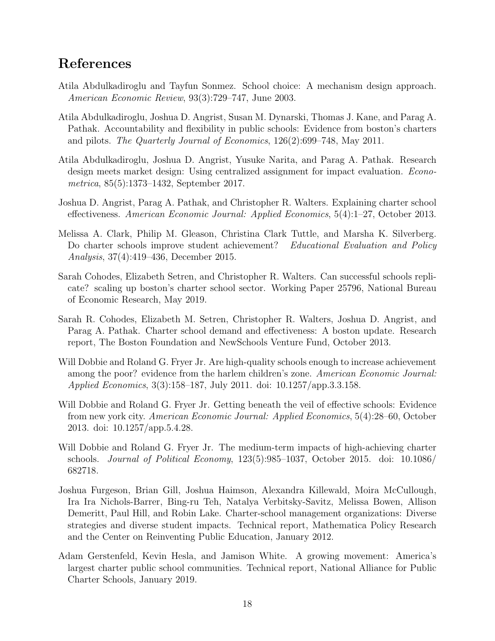### References

- Atila Abdulkadiroglu and Tayfun Sonmez. School choice: A mechanism design approach. American Economic Review, 93(3):729–747, June 2003.
- Atila Abdulkadiroglu, Joshua D. Angrist, Susan M. Dynarski, Thomas J. Kane, and Parag A. Pathak. Accountability and flexibility in public schools: Evidence from boston's charters and pilots. The Quarterly Journal of Economics, 126(2):699–748, May 2011.
- Atila Abdulkadiroglu, Joshua D. Angrist, Yusuke Narita, and Parag A. Pathak. Research design meets market design: Using centralized assignment for impact evaluation. *Econo*metrica, 85(5):1373–1432, September 2017.
- Joshua D. Angrist, Parag A. Pathak, and Christopher R. Walters. Explaining charter school effectiveness. American Economic Journal: Applied Economics, 5(4):1–27, October 2013.
- Melissa A. Clark, Philip M. Gleason, Christina Clark Tuttle, and Marsha K. Silverberg. Do charter schools improve student achievement? Educational Evaluation and Policy Analysis, 37(4):419–436, December 2015.
- Sarah Cohodes, Elizabeth Setren, and Christopher R. Walters. Can successful schools replicate? scaling up boston's charter school sector. Working Paper 25796, National Bureau of Economic Research, May 2019.
- Sarah R. Cohodes, Elizabeth M. Setren, Christopher R. Walters, Joshua D. Angrist, and Parag A. Pathak. Charter school demand and effectiveness: A boston update. Research report, The Boston Foundation and NewSchools Venture Fund, October 2013.
- Will Dobbie and Roland G. Fryer Jr. Are high-quality schools enough to increase achievement among the poor? evidence from the harlem children's zone. American Economic Journal: Applied Economics, 3(3):158–187, July 2011. doi: 10.1257/app.3.3.158.
- Will Dobbie and Roland G. Fryer Jr. Getting beneath the veil of effective schools: Evidence from new york city. American Economic Journal: Applied Economics, 5(4):28–60, October 2013. doi: 10.1257/app.5.4.28.
- Will Dobbie and Roland G. Fryer Jr. The medium-term impacts of high-achieving charter schools. Journal of Political Economy, 123(5):985–1037, October 2015. doi: 10.1086/ 682718.
- Joshua Furgeson, Brian Gill, Joshua Haimson, Alexandra Killewald, Moira McCullough, Ira Ira Nichols-Barrer, Bing-ru Teh, Natalya Verbitsky-Savitz, Melissa Bowen, Allison Demeritt, Paul Hill, and Robin Lake. Charter-school management organizations: Diverse strategies and diverse student impacts. Technical report, Mathematica Policy Research and the Center on Reinventing Public Education, January 2012.
- Adam Gerstenfeld, Kevin Hesla, and Jamison White. A growing movement: America's largest charter public school communities. Technical report, National Alliance for Public Charter Schools, January 2019.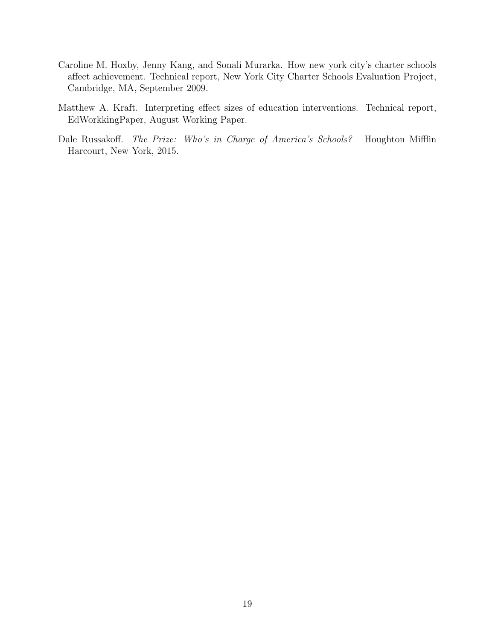- Caroline M. Hoxby, Jenny Kang, and Sonali Murarka. How new york city's charter schools affect achievement. Technical report, New York City Charter Schools Evaluation Project, Cambridge, MA, September 2009.
- Matthew A. Kraft. Interpreting effect sizes of education interventions. Technical report, EdWorkkingPaper, August Working Paper.
- Dale Russakoff. The Prize: Who's in Charge of America's Schools? Houghton Mifflin Harcourt, New York, 2015.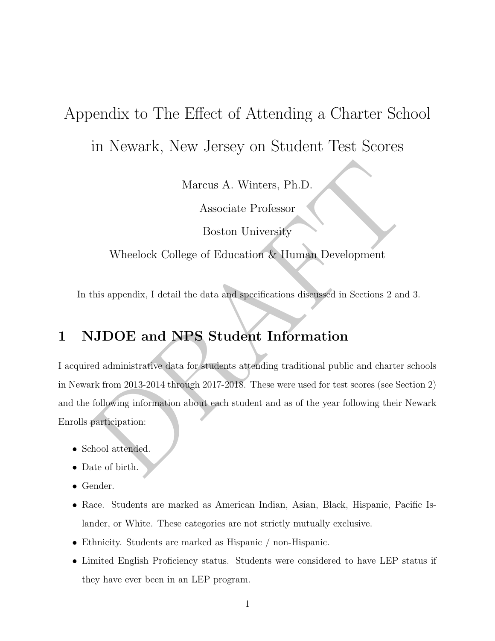# Appendix to The Effect of Attending a Charter School in Newark, New Jersey on Student Test Scores

Marcus A. Winters, Ph.D.

Associate Professor

Boston University

Wheelock College of Education & Human Development

In this appendix, I detail the data and specifications discussed in Sections 2 and 3.

## 1 NJDOE and NPS Student Information

Marcus A. Winters, Ph.D.<br>
Associate Professor<br>
Boston University<br>
Wheelock College of Education & Human Development<br>
this appendix, I detail the data and specifications discussed in Sections 2 and 3.<br>
JJDOE and NPS Student I acquired administrative data for students attending traditional public and charter schools in Newark from 2013-2014 through 2017-2018. These were used for test scores (see Section 2) and the following information about each student and as of the year following their Newark Enrolls participation:

- School attended.
- Date of birth.
- Gender.
- Race. Students are marked as American Indian, Asian, Black, Hispanic, Pacific Islander, or White. These categories are not strictly mutually exclusive.
- Ethnicity. Students are marked as Hispanic / non-Hispanic.
- Limited English Proficiency status. Students were considered to have LEP status if they have ever been in an LEP program.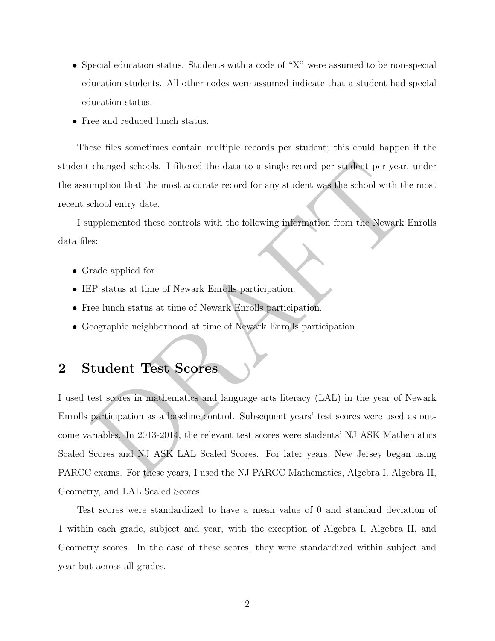- Special education status. Students with a code of "X" were assumed to be non-special education students. All other codes were assumed indicate that a student had special education status.
- Free and reduced lunch status.

These files sometimes contain multiple records per student; this could happen if the student changed schools. I filtered the data to a single record per student per year, under the assumption that the most accurate record for any student was the school with the most recent school entry date.

I supplemented these controls with the following information from the Newark Enrolls data files:

- Grade applied for.
- IEP status at time of Newark Enrolls participation.
- Free lunch status at time of Newark Enrolls participation.
- Geographic neighborhood at time of Newark Enrolls participation.

### 2 Student Test Scores

changed schools. I filtered the data to a single record per student per year, under<br>mption that the most accurate record for any student was the school with the most<br>chool entry date.<br>the most school with the following inf I used test scores in mathematics and language arts literacy (LAL) in the year of Newark Enrolls participation as a baseline control. Subsequent years' test scores were used as outcome variables. In 2013-2014, the relevant test scores were students' NJ ASK Mathematics Scaled Scores and NJ ASK LAL Scaled Scores. For later years, New Jersey began using PARCC exams. For these years, I used the NJ PARCC Mathematics, Algebra I, Algebra II, Geometry, and LAL Scaled Scores.

Test scores were standardized to have a mean value of 0 and standard deviation of 1 within each grade, subject and year, with the exception of Algebra I, Algebra II, and Geometry scores. In the case of these scores, they were standardized within subject and year but across all grades.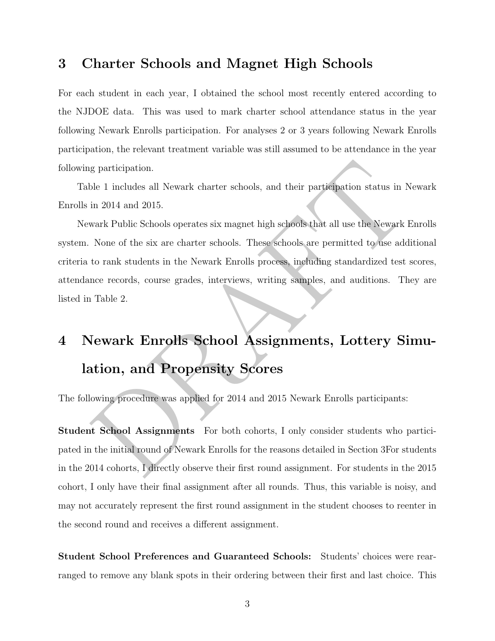#### 3 Charter Schools and Magnet High Schools

For each student in each year, I obtained the school most recently entered according to the NJDOE data. This was used to mark charter school attendance status in the year following Newark Enrolls participation. For analyses 2 or 3 years following Newark Enrolls participation, the relevant treatment variable was still assumed to be attendance in the year following participation.

Table 1 includes all Newark charter schools, and their participation status in Newark Enrolls in 2014 and 2015.

g participation.<br>
ble 1 includes all Newark charter schools, and their participation status in Newark<br>
in 2014 and 2015.<br>
wark Public Schools operates six magnet high schools that all use the Newark Enrolls<br>
Nonc of the si Newark Public Schools operates six magnet high schools that all use the Newark Enrolls system. None of the six are charter schools. These schools are permitted to use additional criteria to rank students in the Newark Enrolls process, including standardized test scores, attendance records, course grades, interviews, writing samples, and auditions. They are listed in Table 2.

# 4 Newark Enrolls School Assignments, Lottery Simulation, and Propensity Scores

The following procedure was applied for 2014 and 2015 Newark Enrolls participants:

Student School Assignments For both cohorts, I only consider students who participated in the initial round of Newark Enrolls for the reasons detailed in Section 3For students in the 2014 cohorts, I directly observe their first round assignment. For students in the 2015 cohort, I only have their final assignment after all rounds. Thus, this variable is noisy, and may not accurately represent the first round assignment in the student chooses to reenter in the second round and receives a different assignment.

Student School Preferences and Guaranteed Schools: Students' choices were rearranged to remove any blank spots in their ordering between their first and last choice. This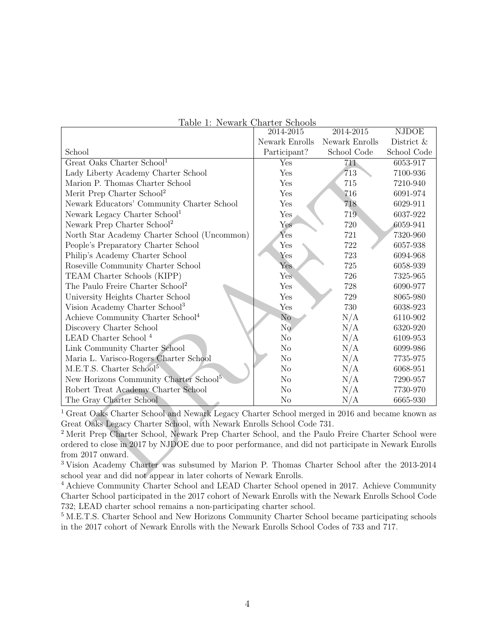| rable 1: Newark Unarter Schools                                                                              |                      |                |              |
|--------------------------------------------------------------------------------------------------------------|----------------------|----------------|--------------|
|                                                                                                              | 2014-2015            | 2014-2015      | <b>NJDOE</b> |
|                                                                                                              | Newark Enrolls       | Newark Enrolls | District &   |
| School                                                                                                       | Participant?         | School Code    | School Code  |
| Great Oaks Charter School <sup>1</sup>                                                                       | Yes                  | 711            | 6053-917     |
| Lady Liberty Academy Charter School                                                                          | Yes                  | 713            | 7100-936     |
| Marion P. Thomas Charter School                                                                              | Yes                  | 715            | 7210-940     |
| Merit Prep Charter School <sup>2</sup>                                                                       | Yes                  | 716            | 6091-974     |
| Newark Educators' Community Charter School                                                                   | Yes                  | 718            | 6029-911     |
| Newark Legacy Charter School <sup>1</sup>                                                                    | Yes                  | 719            | 6037-922     |
| Newark Prep Charter School <sup>2</sup>                                                                      | Yes                  | 720            | 6059-941     |
| North Star Academy Charter School (Uncommon)                                                                 | $Y_{\rm{es}}$        | 721            | 7320-960     |
| People's Preparatory Charter School                                                                          | $\operatorname{Yes}$ | 722            | 6057-938     |
| Philip's Academy Charter School                                                                              | Yes                  | 723            | 6094-968     |
| Roseville Community Charter School                                                                           | Yes                  | 725            | 6058-939     |
| TEAM Charter Schools (KIPP)                                                                                  | Yes                  | 726            | 7325-965     |
| The Paulo Freire Charter School <sup>2</sup>                                                                 | $\operatorname{Yes}$ | 728            | 6090-977     |
| University Heights Charter School                                                                            | Yes                  | 729            | 8065-980     |
| Vision Academy Charter School <sup>3</sup>                                                                   | Yes                  | 730            | 6038-923     |
| Achieve Community Charter School <sup>4</sup>                                                                | No                   | N/A            | 6110-902     |
| Discovery Charter School                                                                                     | N <sub>o</sub>       | N/A            | 6320-920     |
| LEAD Charter School <sup>4</sup>                                                                             | N <sub>o</sub>       | N/A            | 6109-953     |
| Link Community Charter School                                                                                | N <sub>o</sub>       | N/A            | 6099-986     |
| Maria L. Varisco-Rogers Charter School                                                                       | No                   | N/A            | 7735-975     |
| M.E.T.S. Charter School <sup>5</sup>                                                                         | No                   | N/A            | 6068-951     |
| New Horizons Community Charter School <sup>5</sup>                                                           | N <sub>o</sub>       | N/A            | 7290-957     |
| Robert Treat Academy Charter School                                                                          | N <sub>o</sub>       | N/A            | 7730-970     |
| The Gray Charter School                                                                                      | No                   | N/A            | 6665-930     |
| <sup>1</sup> Great Oaks Charter School and Newark Legacy Charter School merged in 2016 and became known as   |                      |                |              |
| Great Oaks Legacy Charter School, with Newark Enrolls School Code 731.                                       |                      |                |              |
| <sup>2</sup> Merit Prep Charter School, Newark Prep Charter School, and the Paulo Freire Charter School were |                      |                |              |
| ordered to close in 2017 by NJDOE due to poor performance, and did not participate in Newark Enrolls         |                      |                |              |
| from 2017 onward.                                                                                            |                      |                |              |
| <sup>3</sup> Vision Academy Charter was subsumed by Marion P. Thomas Charter School after the 2013-2014      |                      |                |              |
| school year and did not appear in later cohorts of Newark Enrolls.                                           |                      |                |              |

|  | Table 1: Newark Charter Schools |  |
|--|---------------------------------|--|
|  |                                 |  |

<sup>3</sup> Vision Academy Charter was subsumed by Marion P. Thomas Charter School after the 2013-2014 school year and did not appear in later cohorts of Newark Enrolls.

<sup>4</sup> Achieve Community Charter School and LEAD Charter School opened in 2017. Achieve Community Charter School participated in the 2017 cohort of Newark Enrolls with the Newark Enrolls School Code 732; LEAD charter school remains a non-participating charter school.

<sup>5</sup> M.E.T.S. Charter School and New Horizons Community Charter School became participating schools in the 2017 cohort of Newark Enrolls with the Newark Enrolls School Codes of 733 and 717.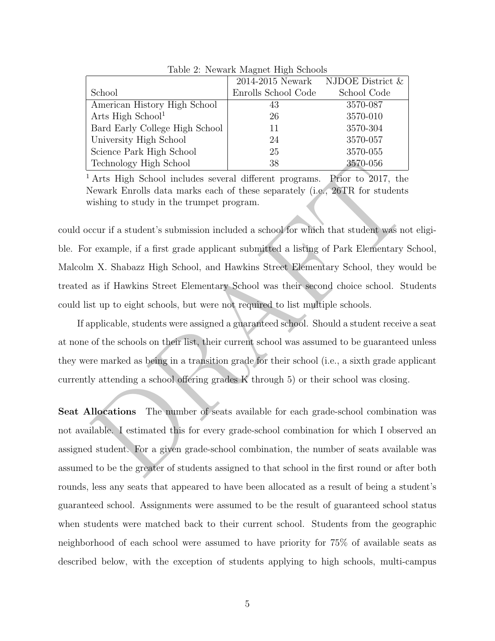|                                | 2014-2015 Newark    | NJDOE District $\&$ |
|--------------------------------|---------------------|---------------------|
| School                         | Enrolls School Code | School Code         |
| American History High School   | 43                  | 3570-087            |
| Arts High School <sup>1</sup>  | 26                  | 3570-010            |
| Bard Early College High School | 11                  | 3570-304            |
| University High School         | 24                  | 3570-057            |
| Science Park High School       | 25                  | 3570-055            |
| Technology High School         | 38                  | 3570-056            |

Table 2: Newark Magnet High Schools

<sup>1</sup> Arts High School includes several different programs. Prior to 2017, the Newark Enrolls data marks each of these separately (i.e., 26TR for students wishing to study in the trumpet program.

Technology High School and a star Higher Procedure and the Arts High School includes several different programs. Proto to 2017, the Arts High School includes several different programs. Deformately the event from the trump could occur if a student's submission included a school for which that student was not eligible. For example, if a first grade applicant submitted a listing of Park Elementary School, Malcolm X. Shabazz High School, and Hawkins Street Elementary School, they would be treated as if Hawkins Street Elementary School was their second choice school. Students could list up to eight schools, but were not required to list multiple schools.

If applicable, students were assigned a guaranteed school. Should a student receive a seat at none of the schools on their list, their current school was assumed to be guaranteed unless they were marked as being in a transition grade for their school (i.e., a sixth grade applicant currently attending a school offering grades K through 5) or their school was closing.

Seat Allocations The number of seats available for each grade-school combination was not available. I estimated this for every grade-school combination for which I observed an assigned student. For a given grade-school combination, the number of seats available was assumed to be the greater of students assigned to that school in the first round or after both rounds, less any seats that appeared to have been allocated as a result of being a student's guaranteed school. Assignments were assumed to be the result of guaranteed school status when students were matched back to their current school. Students from the geographic neighborhood of each school were assumed to have priority for 75% of available seats as described below, with the exception of students applying to high schools, multi-campus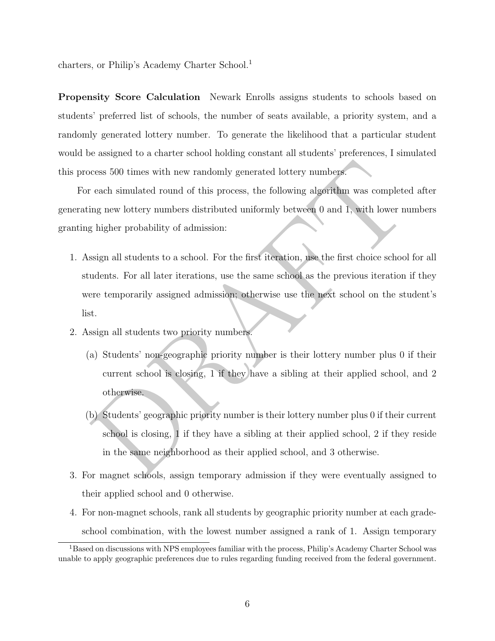charters, or Philip's Academy Charter School.<sup>1</sup>

Propensity Score Calculation Newark Enrolls assigns students to schools based on students' preferred list of schools, the number of seats available, a priority system, and a randomly generated lottery number. To generate the likelihood that a particular student would be assigned to a charter school holding constant all students' preferences, I simulated this process 500 times with new randomly generated lottery numbers.

For each simulated round of this process, the following algorithm was completed after generating new lottery numbers distributed uniformly between 0 and 1, with lower numbers granting higher probability of admission:

- cess 500 times with new randomly generated lottery numbers.<br>
Yeach simulated round of this process, the following algorithm was completed after<br>
ing new lottery numbers distributed uniformly between 0 and 1, with lower num 1. Assign all students to a school. For the first iteration, use the first choice school for all students. For all later iterations, use the same school as the previous iteration if they were temporarily assigned admission; otherwise use the next school on the student's list.
- 2. Assign all students two priority numbers.
	- (a) Students' non-geographic priority number is their lottery number plus 0 if their current school is closing, 1 if they have a sibling at their applied school, and 2 otherwise.
	- (b) Students' geographic priority number is their lottery number plus 0 if their current school is closing, 1 if they have a sibling at their applied school, 2 if they reside in the same neighborhood as their applied school, and 3 otherwise.
- 3. For magnet schools, assign temporary admission if they were eventually assigned to their applied school and 0 otherwise.
- 4. For non-magnet schools, rank all students by geographic priority number at each gradeschool combination, with the lowest number assigned a rank of 1. Assign temporary

<sup>1</sup>Based on discussions with NPS employees familiar with the process, Philip's Academy Charter School was unable to apply geographic preferences due to rules regarding funding received from the federal government.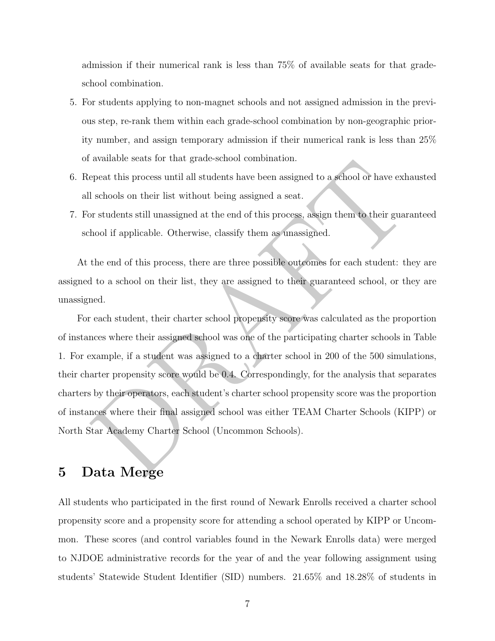admission if their numerical rank is less than 75% of available seats for that gradeschool combination.

- 5. For students applying to non-magnet schools and not assigned admission in the previous step, re-rank them within each grade-school combination by non-geographic priority number, and assign temporary admission if their numerical rank is less than 25% of available seats for that grade-school combination.
- 6. Repeat this process until all students have been assigned to a school or have exhausted all schools on their list without being assigned a seat.
- 7. For students still unassigned at the end of this process, assign them to their guaranteed school if applicable. Otherwise, classify them as unassigned.

At the end of this process, there are three possible outcomes for each student: they are assigned to a school on their list, they are assigned to their guaranteed school, or they are unassigned.

avanone seas for that grate-school combination.<br>
Espect this process until all students have been assigned to a school or have exhausted<br>
is schools on their list without being assigned a seat.<br>
For students still unassign For each student, their charter school propensity score was calculated as the proportion of instances where their assigned school was one of the participating charter schools in Table 1. For example, if a student was assigned to a charter school in 200 of the 500 simulations, their charter propensity score would be 0.4. Correspondingly, for the analysis that separates charters by their operators, each student's charter school propensity score was the proportion of instances where their final assigned school was either TEAM Charter Schools (KIPP) or North Star Academy Charter School (Uncommon Schools).

### 5 Data Merge

All students who participated in the first round of Newark Enrolls received a charter school propensity score and a propensity score for attending a school operated by KIPP or Uncommon. These scores (and control variables found in the Newark Enrolls data) were merged to NJDOE administrative records for the year of and the year following assignment using students' Statewide Student Identifier (SID) numbers. 21.65% and 18.28% of students in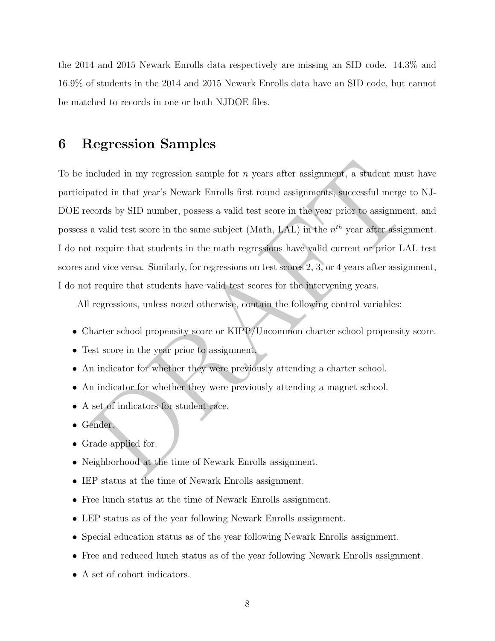the 2014 and 2015 Newark Enrolls data respectively are missing an SID code. 14.3% and 16.9% of students in the 2014 and 2015 Newark Enrolls data have an SID code, but cannot be matched to records in one or both NJDOE files.

#### 6 Regression Samples

ncluded in my regression sample for *n* years after assignment, a student must have at<br>ated in that year's Newark Enrolls first round assignments, successful merge to NJ<br>cords by SID number, possess a valid test score in To be included in my regression sample for  $n$  years after assignment, a student must have participated in that year's Newark Enrolls first round assignments, successful merge to NJ-DOE records by SID number, possess a valid test score in the year prior to assignment, and possess a valid test score in the same subject (Math, LAL) in the  $n^{th}$  year after assignment. I do not require that students in the math regressions have valid current or prior LAL test scores and vice versa. Similarly, for regressions on test scores 2, 3, or 4 years after assignment, I do not require that students have valid test scores for the intervening years.

All regressions, unless noted otherwise, contain the following control variables:

- Charter school propensity score or KIPP/Uncommon charter school propensity score.
- Test score in the year prior to assignment.
- An indicator for whether they were previously attending a charter school.
- An indicator for whether they were previously attending a magnet school.
- A set of indicators for student race.
- Gender.
- Grade applied for.
- Neighborhood at the time of Newark Enrolls assignment.
- IEP status at the time of Newark Enrolls assignment.
- Free lunch status at the time of Newark Enrolls assignment.
- LEP status as of the year following Newark Enrolls assignment.
- Special education status as of the year following Newark Enrolls assignment.
- Free and reduced lunch status as of the year following Newark Enrolls assignment.
- A set of cohort indicators.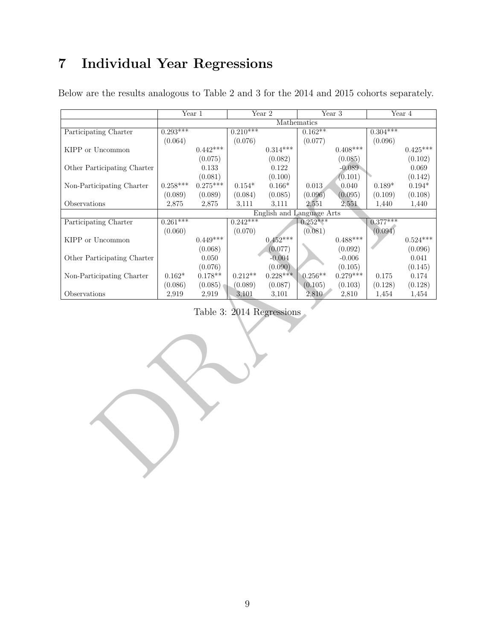## 7 Individual Year Regressions

|                                                    |            | $\overline{\text{Year 1}}$ |            | $\overline{\text{Year 2}}$ | $\overline{\text{Year 3}}$ |            |            | Year 4          |
|----------------------------------------------------|------------|----------------------------|------------|----------------------------|----------------------------|------------|------------|-----------------|
|                                                    |            |                            |            |                            | Mathematics                |            |            |                 |
| Participating Charter                              | $0.293***$ |                            | $0.210***$ |                            | $0.162**$                  |            | $0.304***$ |                 |
|                                                    | (0.064)    |                            | (0.076)    |                            | (0.077)                    |            | (0.096)    |                 |
| KIPP or Uncommon                                   |            | $0.442***$                 |            | $0.314***$                 |                            | $0.408***$ |            | $0.425***$      |
|                                                    |            | (0.075)                    |            | (0.082)                    |                            | (0.085)    |            | (0.102)         |
| Other Participating Charter                        |            | $0.133\,$                  |            | 0.122                      |                            | $-0.089$   |            | 0.069           |
|                                                    |            | (0.081)                    |            | (0.100)                    |                            | (0.101)    |            | (0.142)         |
| Non-Participating Charter                          | $0.258***$ | $0.275***$                 | $0.154*$   | $0.166*$                   | 0.013                      | 0.040      | $0.189*$   | $0.194*$        |
|                                                    | (0.089)    | (0.089)                    | (0.084)    | (0.085)                    | (0.096)                    | (0.095)    | (0.109)    | (0.108)         |
| $\hbox{Observations}$                              | 2,875      | 2,875                      | 3,111      | 3,111                      | 2,551                      | 2,551      | 1,440      | 1,440           |
|                                                    |            |                            |            |                            | English and Language Arts  |            |            |                 |
| Participating Charter                              | $0.261***$ |                            | $0.242***$ |                            | $0.252***$                 |            | $0.377***$ |                 |
|                                                    | (0.060)    |                            | (0.070)    |                            | (0.081)                    |            | (0.094)    |                 |
| $\operatorname{KIPP}$ or $\operatorname{Uncommon}$ |            | $0.449***$                 |            | $0.452***$                 |                            | $0.488***$ |            | $0.524^{***}\,$ |
|                                                    |            | (0.068)                    |            | (0.077)                    |                            | (0.092)    |            | (0.096)         |
| Other Participating Charter                        |            | 0.050                      |            | $-0.004$                   |                            | $-0.006$   |            | 0.041           |
|                                                    |            | (0.076)                    |            | (0.090)                    |                            | (0.105)    |            | (0.145)         |
| Non-Participating Charter                          | $0.162*$   | $0.178**$                  | $0.212**$  | $0.228***$                 | $0.256**$                  | $0.279***$ | 0.175      | 0.174           |
|                                                    | (0.086)    | (0.085)                    | (0.089)    | (0.087)                    | (0.105)                    | (0.103)    | (0.128)    | (0.128)         |
| Observations                                       | 2,919      | 2,919                      | 3,101      | 3,101                      | 2,810                      | 2,810      | 1,454      | 1,454           |
|                                                    |            |                            |            | Table 3: 2014 Regressions  |                            |            |            |                 |
|                                                    |            |                            |            |                            |                            |            |            |                 |

Below are the results analogous to Table 2 and 3 for the 2014 and 2015 cohorts separately.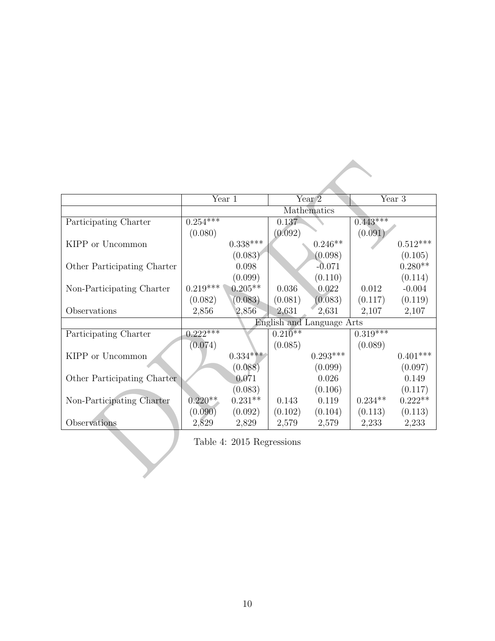|                             |            | Year 1                    |           | Year <sub>2</sub>         |            | Year 3     |
|-----------------------------|------------|---------------------------|-----------|---------------------------|------------|------------|
|                             |            |                           |           | Mathematics               |            |            |
| Participating Charter       | $0.254***$ |                           | 0.137     |                           | $0.443***$ |            |
|                             | (0.080)    |                           | (0.092)   |                           | (0.091)    |            |
| KIPP or Uncommon            |            | $0.338***$                |           | $0.246**$                 |            | $0.512***$ |
|                             |            | (0.083)                   |           | (0.098)                   |            | (0.105)    |
| Other Participating Charter |            | 0.098                     |           | $-0.071$                  |            | $0.280**$  |
|                             |            | (0.099)                   |           | (0.110)                   |            | (0.114)    |
| Non-Participating Charter   | $0.219***$ | $0.205**$                 | 0.036     | 0.022                     | 0.012      | $-0.004$   |
|                             | (0.082)    | (0.083)                   | (0.081)   | (0.083)                   | (0.117)    | (0.119)    |
| Observations                | 2,856      | 2,856                     | 2,631     | 2,631                     | 2,107      | 2,107      |
|                             |            |                           |           | English and Language Arts |            |            |
| Participating Charter       | $0.222***$ |                           | $0.210**$ |                           | $0.319***$ |            |
|                             | (0.074)    |                           | (0.085)   |                           | (0.089)    |            |
| KIPP or Uncommon            |            | $0.334***$                |           | $0.293***$                |            | $0.401***$ |
|                             |            | (0.088)                   |           | (0.099)                   |            | (0.097)    |
| Other Participating Charter |            | 0.071                     |           | 0.026                     |            | 0.149      |
|                             |            | (0.083)                   |           | (0.106)                   |            | (0.117)    |
| Non-Participating Charter   | $0.220**$  | $0.231**$                 | 0.143     | 0.119                     | $0.234**$  | $0.222**$  |
|                             | (0.090)    | (0.092)                   | (0.102)   | (0.104)                   | (0.113)    | (0.113)    |
| Observations                | 2,829      | 2,829                     | 2,579     | 2,579                     | 2,233      | 2,233      |
|                             |            | Table 4: 2015 Regressions |           |                           |            |            |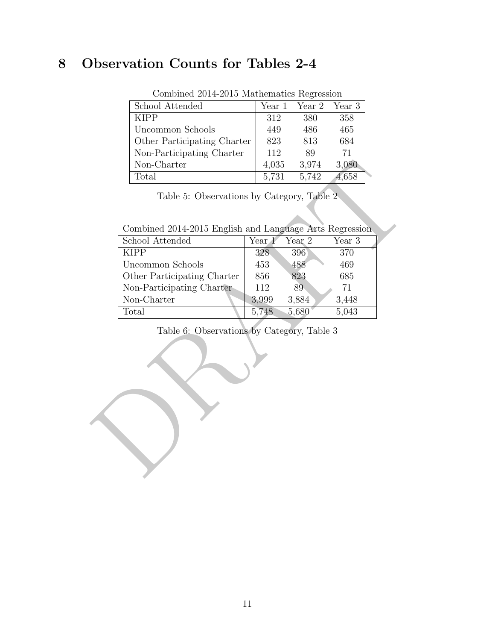## 8 Observation Counts for Tables 2-4

| School Attended             | Year 1 | Year 2 Year 3 |       |
|-----------------------------|--------|---------------|-------|
| <b>KIPP</b>                 | 312    | 380           | 358   |
| Uncommon Schools            | 449    | 486           | 465   |
| Other Participating Charter | 823    | 813           | 684   |
| Non-Participating Charter   | 112    | 89            | 71    |
| Non-Charter                 | 4,035  | 3,974         | 3,080 |
| Total                       | 5,731  | 5,742         | 4,658 |

Combined 2014-2015 Mathematics Regression

Combined 2014-2015 English and Language Arts Regression

| Non-Charter                                             | 4,035<br>3,974<br>3,080    |
|---------------------------------------------------------|----------------------------|
| Total                                                   | 5,731<br>5,742<br>4,658    |
| Table 5: Observations by Category, Table 2.             |                            |
| Combined 2014-2015 English and Language Arts Regression |                            |
| School Attended                                         | Year 3<br>Year 1<br>Year 2 |
| <b>KIPP</b>                                             | 396<br>370<br>328          |
| Uncommon Schools                                        | 453<br>469<br>488          |
| Other Participating Charter                             | 685<br>856<br>823          |
| Non-Participating Charter                               | 89<br>71<br>112            |
| Non-Charter                                             | 3,448<br>3,999<br>3,884    |
| Total                                                   | 5,748<br>5,680<br>5,043    |
| Table 6: Observations by Category, Table 3              |                            |
|                                                         |                            |